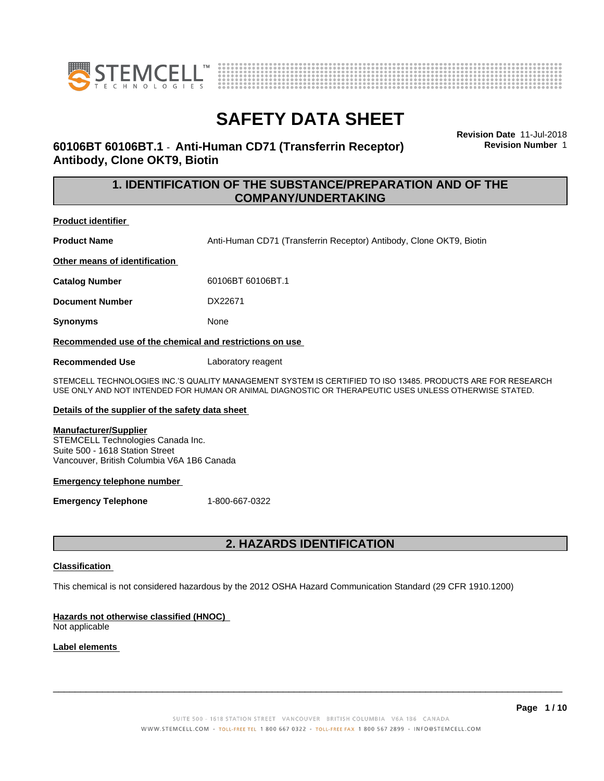



### **60106BT 60106BT.1** - **Anti-Human CD71 (Transferrin Receptor) Antibody, Clone OKT9, Biotin**

**Revision Date** 11-Jul-2018 **Revision Number** 1

### **1. IDENTIFICATION OF THE SUBSTANCE/PREPARATION AND OF THE COMPANY/UNDERTAKING**

#### **Product identifier**

**Product Name** Anti-Human CD71 (Transferrin Receptor) Antibody, Clone OKT9, Biotin

**Other means of identification**

**Catalog Number** 60106BT 60106BT.1

**Document Number** DX22671

**Synonyms** None

**Recommended use of the chemical and restrictions on use**

**Recommended Use** Laboratory reagent

STEMCELL TECHNOLOGIES INC.'S QUALITY MANAGEMENT SYSTEM IS CERTIFIED TO ISO 13485. PRODUCTS ARE FOR RESEARCH USE ONLY AND NOT INTENDED FOR HUMAN OR ANIMAL DIAGNOSTIC OR THERAPEUTIC USES UNLESS OTHERWISE STATED.

#### **Details of the supplier of the safety data sheet**

#### **Manufacturer/Supplier**

STEMCELL Technologies Canada Inc. Suite 500 - 1618 Station Street Vancouver, British Columbia V6A 1B6 Canada

#### **Emergency telephone number**

**Emergency Telephone** 1-800-667-0322

### **2. HAZARDS IDENTIFICATION**

#### **Classification**

This chemical is not considered hazardous by the 2012 OSHA Hazard Communication Standard (29 CFR 1910.1200)

### **Hazards not otherwise classified (HNOC)**

Not applicable

#### **Label elements**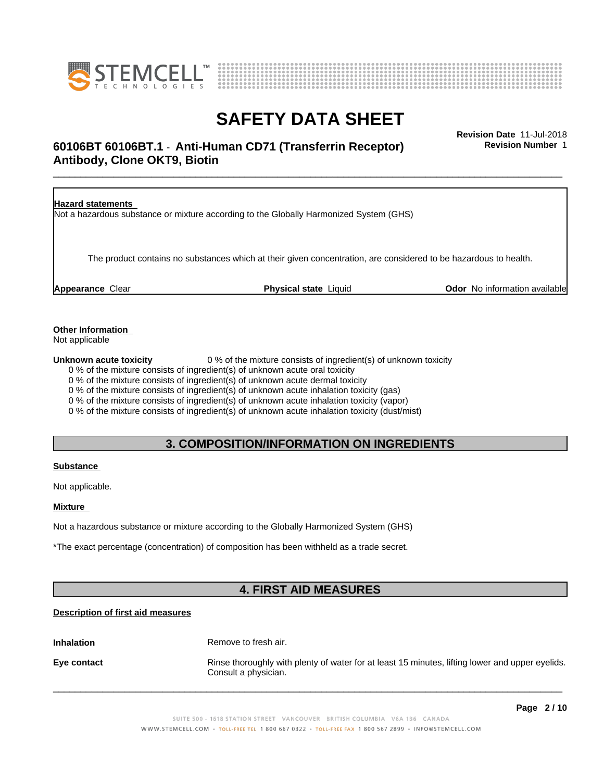



### \_\_\_\_\_\_\_\_\_\_\_\_\_\_\_\_\_\_\_\_\_\_\_\_\_\_\_\_\_\_\_\_\_\_\_\_\_\_\_\_\_\_\_\_\_\_\_\_\_\_\_\_\_\_\_\_\_\_\_\_\_\_\_\_\_\_\_\_\_\_\_\_\_\_\_\_\_\_\_\_\_\_\_\_\_\_\_\_\_\_\_\_\_ **Revision Date** 11-Jul-2018 **60106BT 60106BT.1** - **Anti-Human CD71 (Transferrin Receptor) Antibody, Clone OKT9, Biotin**

**Revision Number** 1

| <b>Hazard statements</b> | Not a hazardous substance or mixture according to the Globally Harmonized System (GHS)                           |                                      |
|--------------------------|------------------------------------------------------------------------------------------------------------------|--------------------------------------|
|                          | The product contains no substances which at their given concentration, are considered to be hazardous to health. |                                      |
| Appearance Clear         | <b>Physical state Liquid</b>                                                                                     | <b>Odor</b> No information available |

### **Other Information**

Not applicable

**Unknown acute toxicity** 0 % of the mixture consists of ingredient(s) of unknown toxicity

0 % of the mixture consists of ingredient(s) of unknown acute oral toxicity

0 % of the mixture consists of ingredient(s) of unknown acute dermal toxicity

0 % of the mixture consists of ingredient(s) of unknown acute inhalation toxicity (gas)

0 % of the mixture consists of ingredient(s) of unknown acute inhalation toxicity (vapor)

0 % of the mixture consists of ingredient(s) of unknown acute inhalation toxicity (dust/mist)

### **3. COMPOSITION/INFORMATION ON INGREDIENTS**

#### **Substance**

Not applicable.

#### **Mixture**

Not a hazardous substance or mixture according to the Globally Harmonized System (GHS)

\*The exact percentage (concentration) of composition has been withheld as a trade secret.

### **4. FIRST AID MEASURES**

### **Description of first aid measures**

**Inhalation** Remove to fresh air.

**Eye contact Rinse thoroughly with plenty of water for at least 15 minutes, lifting lower and upper eyelids.** Consult a physician.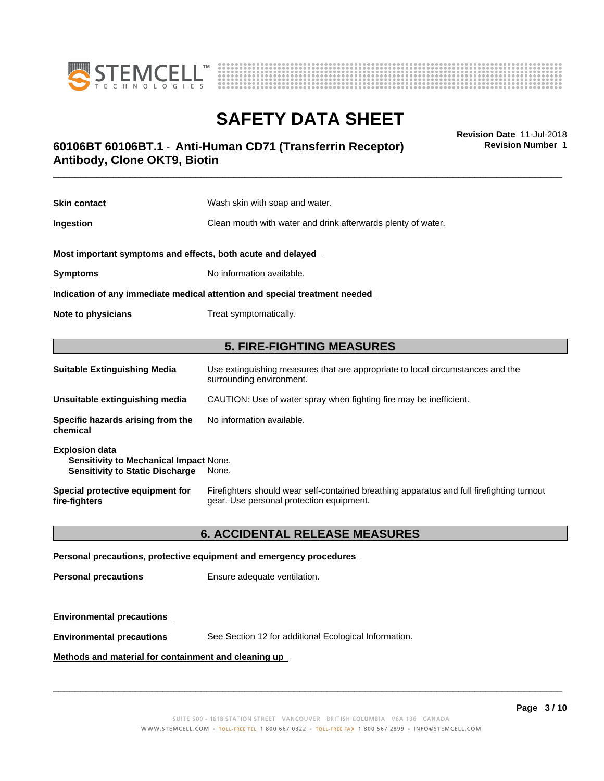



### \_\_\_\_\_\_\_\_\_\_\_\_\_\_\_\_\_\_\_\_\_\_\_\_\_\_\_\_\_\_\_\_\_\_\_\_\_\_\_\_\_\_\_\_\_\_\_\_\_\_\_\_\_\_\_\_\_\_\_\_\_\_\_\_\_\_\_\_\_\_\_\_\_\_\_\_\_\_\_\_\_\_\_\_\_\_\_\_\_\_\_\_\_ **Revision Date** 11-Jul-2018 **60106BT 60106BT.1** - **Anti-Human CD71 (Transferrin Receptor) Antibody, Clone OKT9, Biotin**

**Skin contact** Wash skin with soap and water. **Ingestion Ingestion Clean mouth with water and drink afterwards plenty of water. Most important symptoms and effects, both acute and delayed Symptoms** No information available. **Indication of any immediate medical attention and special treatment needed Note to physicians** Treat symptomatically. **5. FIRE-FIGHTING MEASURES Suitable Extinguishing Media** Use extinguishing measures that are appropriate to local circumstances and the

|                                                                                                                  | <u>a a a commissioning magaamaa mar ana appropriare ta radar anaannarannaa a</u><br>surrounding environment.                          |
|------------------------------------------------------------------------------------------------------------------|---------------------------------------------------------------------------------------------------------------------------------------|
| Unsuitable extinguishing media                                                                                   | CAUTION: Use of water spray when fighting fire may be inefficient.                                                                    |
| Specific hazards arising from the<br>chemical                                                                    | No information available.                                                                                                             |
| <b>Explosion data</b><br><b>Sensitivity to Mechanical Impact None.</b><br><b>Sensitivity to Static Discharge</b> | None.                                                                                                                                 |
| Special protective equipment for<br>fire-fiqhters                                                                | Firefighters should wear self-contained breathing apparatus and full firefighting turnout<br>gear. Use personal protection equipment. |

### **6. ACCIDENTAL RELEASE MEASURES**

**Personal precautions, protective equipment and emergency procedures**

**Personal precautions** Ensure adequate ventilation.

**Environmental precautions**

**Environmental precautions** See Section 12 for additional Ecological Information.

**Methods and material for containment and cleaning up**

 $\overline{\phantom{a}}$  ,  $\overline{\phantom{a}}$  ,  $\overline{\phantom{a}}$  ,  $\overline{\phantom{a}}$  ,  $\overline{\phantom{a}}$  ,  $\overline{\phantom{a}}$  ,  $\overline{\phantom{a}}$  ,  $\overline{\phantom{a}}$  ,  $\overline{\phantom{a}}$  ,  $\overline{\phantom{a}}$  ,  $\overline{\phantom{a}}$  ,  $\overline{\phantom{a}}$  ,  $\overline{\phantom{a}}$  ,  $\overline{\phantom{a}}$  ,  $\overline{\phantom{a}}$  ,  $\overline{\phantom{a}}$ 

**Revision Number** 1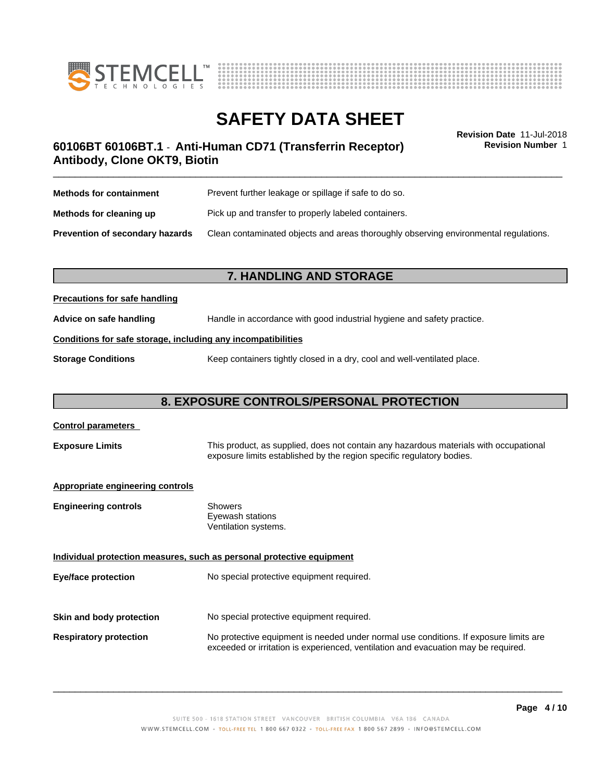



# **SAFETY DATA SHEET**<br>Revision Date 11-Jul-2018

**Revision Number** 1

### \_\_\_\_\_\_\_\_\_\_\_\_\_\_\_\_\_\_\_\_\_\_\_\_\_\_\_\_\_\_\_\_\_\_\_\_\_\_\_\_\_\_\_\_\_\_\_\_\_\_\_\_\_\_\_\_\_\_\_\_\_\_\_\_\_\_\_\_\_\_\_\_\_\_\_\_\_\_\_\_\_\_\_\_\_\_\_\_\_\_\_\_\_ **Revision Date** 11-Jul-2018 **60106BT 60106BT.1** - **Anti-Human CD71 (Transferrin Receptor) Antibody, Clone OKT9, Biotin**

| <b>Methods for containment</b>         | Prevent further leakage or spillage if safe to do so.                                |
|----------------------------------------|--------------------------------------------------------------------------------------|
| Methods for cleaning up                | Pick up and transfer to properly labeled containers.                                 |
| <b>Prevention of secondary hazards</b> | Clean contaminated objects and areas thoroughly observing environmental regulations. |

### **7. HANDLING AND STORAGE**

#### **Precautions for safe handling**

**Advice on safe handling** Handle in accordance with good industrial hygiene and safety practice.

### **Conditions for safe storage, including any incompatibilities**

**Storage Conditions** Keep containers tightly closed in a dry, cool and well-ventilated place.

### **8. EXPOSURE CONTROLS/PERSONAL PROTECTION**

## **Control parameters Exposure Limits** This product, as supplied, does not contain any hazardous materials with occupational exposure limits established by the region specific regulatory bodies. **Appropriate engineering controls Engineering controls** Showers Eyewash stations Ventilation systems. **Individual protection measures, such as personal protective equipment Eye/face protection** No special protective equipment required. **Skin and body protection** No special protective equipment required. **Respiratory protection** No protective equipment is needed under normal use conditions. If exposure limits are exceeded or irritation is experienced, ventilation and evacuation may be required.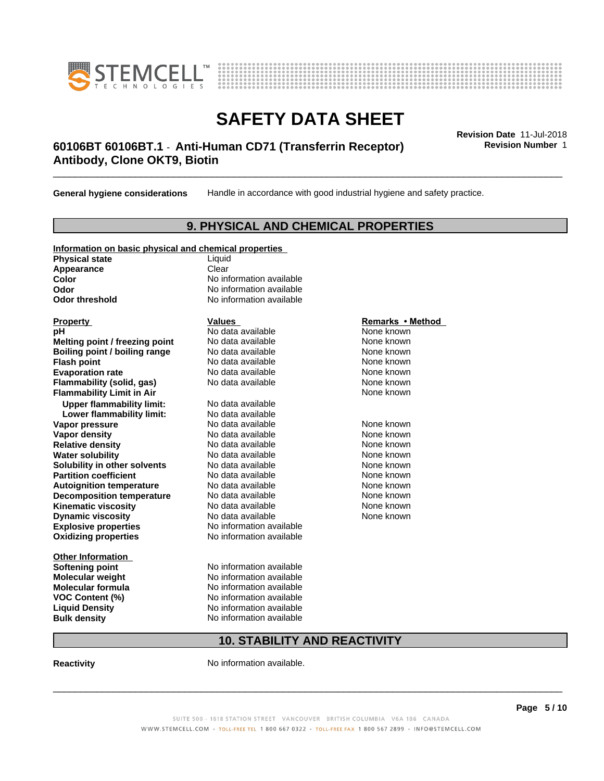



### \_\_\_\_\_\_\_\_\_\_\_\_\_\_\_\_\_\_\_\_\_\_\_\_\_\_\_\_\_\_\_\_\_\_\_\_\_\_\_\_\_\_\_\_\_\_\_\_\_\_\_\_\_\_\_\_\_\_\_\_\_\_\_\_\_\_\_\_\_\_\_\_\_\_\_\_\_\_\_\_\_\_\_\_\_\_\_\_\_\_\_\_\_ **Revision Date** 11-Jul-2018 **60106BT 60106BT.1** - **Anti-Human CD71 (Transferrin Receptor) Antibody, Clone OKT9, Biotin**

**General hygiene considerations** Handle in accordance with good industrial hygiene and safety practice.

### **9. PHYSICAL AND CHEMICAL PROPERTIES**

| Information on basic physical and chemical properties |                          |                  |
|-------------------------------------------------------|--------------------------|------------------|
| <b>Physical state</b>                                 | Liquid                   |                  |
| Appearance                                            | Clear                    |                  |
| <b>Color</b>                                          | No information available |                  |
| Odor                                                  | No information available |                  |
| <b>Odor threshold</b>                                 | No information available |                  |
|                                                       |                          |                  |
| <b>Property</b>                                       | <b>Values</b>            | Remarks • Method |
| рH                                                    | No data available        | None known       |
| Melting point / freezing point                        | No data available        | None known       |
| Boiling point / boiling range                         | No data available        | None known       |
| <b>Flash point</b>                                    | No data available        | None known       |
| <b>Evaporation rate</b>                               | No data available        | None known       |
| Flammability (solid, gas)                             | No data available        | None known       |
| <b>Flammability Limit in Air</b>                      |                          | None known       |
| <b>Upper flammability limit:</b>                      | No data available        |                  |
| Lower flammability limit:                             | No data available        |                  |
| Vapor pressure                                        | No data available        | None known       |
| <b>Vapor density</b>                                  | No data available        | None known       |
| <b>Relative density</b>                               | No data available        | None known       |
| <b>Water solubility</b>                               | No data available        | None known       |
| Solubility in other solvents                          | No data available        | None known       |
| <b>Partition coefficient</b>                          | No data available        | None known       |
| <b>Autoignition temperature</b>                       | No data available        | None known       |
| <b>Decomposition temperature</b>                      | No data available        | None known       |
| <b>Kinematic viscosity</b>                            | No data available        | None known       |
| <b>Dynamic viscosity</b>                              | No data available        | None known       |
| <b>Explosive properties</b>                           | No information available |                  |
| <b>Oxidizing properties</b>                           | No information available |                  |
|                                                       |                          |                  |
| <b>Other Information</b>                              |                          |                  |
| <b>Softening point</b>                                | No information available |                  |
| <b>Molecular weight</b>                               | No information available |                  |
| <b>Molecular formula</b>                              | No information available |                  |
| VOC Content (%)                                       | No information available |                  |
| <b>Liquid Density</b>                                 | No information available |                  |

**Liquid Density No information available**<br> **Bulk density No information available** 

**Revision Number** 1

### **10. STABILITY AND REACTIVITY**

**Reactivity No information available.** 

**No information available**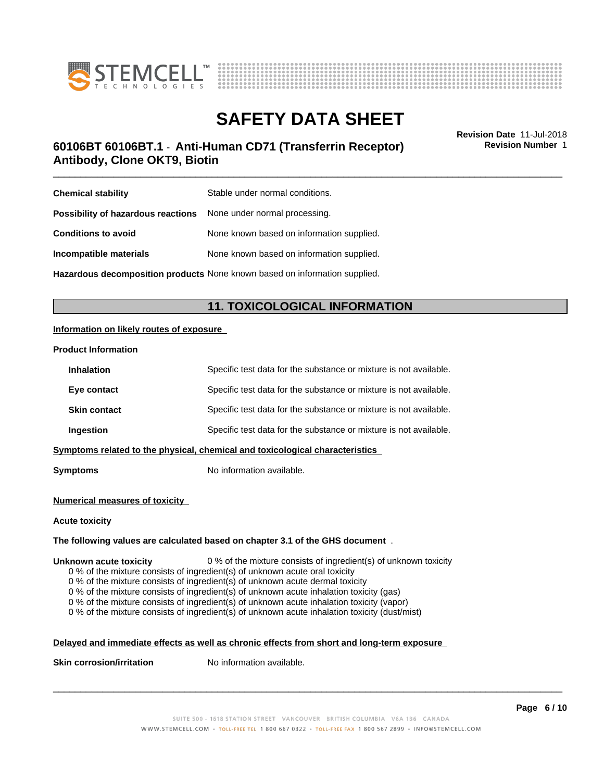



### \_\_\_\_\_\_\_\_\_\_\_\_\_\_\_\_\_\_\_\_\_\_\_\_\_\_\_\_\_\_\_\_\_\_\_\_\_\_\_\_\_\_\_\_\_\_\_\_\_\_\_\_\_\_\_\_\_\_\_\_\_\_\_\_\_\_\_\_\_\_\_\_\_\_\_\_\_\_\_\_\_\_\_\_\_\_\_\_\_\_\_\_\_ **Revision Date** 11-Jul-2018 **60106BT 60106BT.1** - **Anti-Human CD71 (Transferrin Receptor) Antibody, Clone OKT9, Biotin**

**Revision Number** 1

| <b>Chemical stability</b>                                               | Stable under normal conditions.           |
|-------------------------------------------------------------------------|-------------------------------------------|
| <b>Possibility of hazardous reactions</b> None under normal processing. |                                           |
| <b>Conditions to avoid</b>                                              | None known based on information supplied. |
| Incompatible materials                                                  | None known based on information supplied. |
|                                                                         |                                           |

**Hazardous decomposition products** None known based on information supplied.

### **11. TOXICOLOGICAL INFORMATION**

### **Information on likely routes of exposure**

#### **Product Information**

| <b>Inhalation</b>                                                            | Specific test data for the substance or mixture is not available. |  |
|------------------------------------------------------------------------------|-------------------------------------------------------------------|--|
| Eye contact                                                                  | Specific test data for the substance or mixture is not available. |  |
| <b>Skin contact</b>                                                          | Specific test data for the substance or mixture is not available. |  |
| Ingestion                                                                    | Specific test data for the substance or mixture is not available. |  |
| Symptoms related to the physical, chemical and toxicological characteristics |                                                                   |  |
|                                                                              |                                                                   |  |

**Symptoms** No information available.

#### **Numerical measures of toxicity**

#### **Acute toxicity**

#### **The following values are calculated based on chapter 3.1 of the GHS document** .

#### **Unknown acute toxicity** 0 % of the mixture consists of ingredient(s) of unknown toxicity

0 % of the mixture consists of ingredient(s) of unknown acute oral toxicity

0 % of the mixture consists of ingredient(s) of unknown acute dermal toxicity

 $0$  % of the mixture consists of ingredient(s) of unknown acute inhalation toxicity (gas)

0 % of the mixture consists of ingredient(s) of unknown acute inhalation toxicity (vapor)

0 % of the mixture consists of ingredient(s) of unknown acute inhalation toxicity (dust/mist)

### **Delayed and immediate effects as well as chronic effects from short and long-term exposure**

**Skin corrosion/irritation** No information available.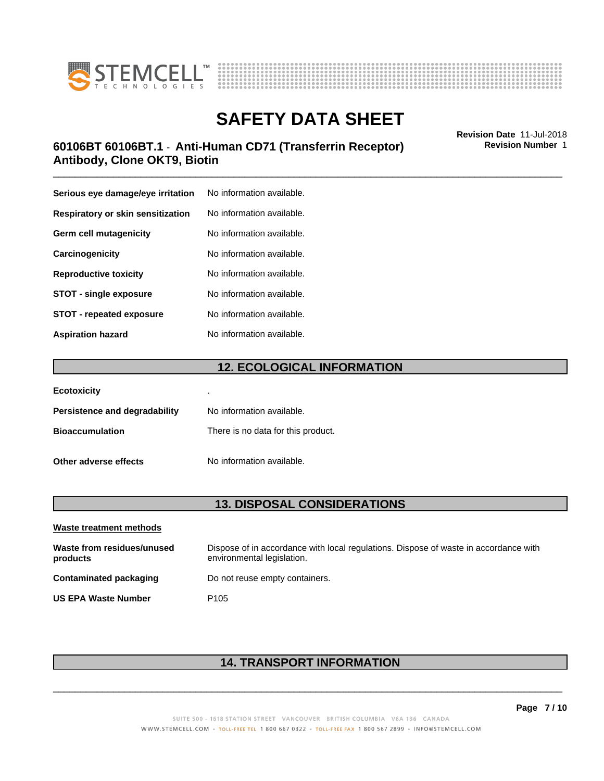



### \_\_\_\_\_\_\_\_\_\_\_\_\_\_\_\_\_\_\_\_\_\_\_\_\_\_\_\_\_\_\_\_\_\_\_\_\_\_\_\_\_\_\_\_\_\_\_\_\_\_\_\_\_\_\_\_\_\_\_\_\_\_\_\_\_\_\_\_\_\_\_\_\_\_\_\_\_\_\_\_\_\_\_\_\_\_\_\_\_\_\_\_\_ **Revision Date** 11-Jul-2018 **60106BT 60106BT.1** - **Anti-Human CD71 (Transferrin Receptor) Antibody, Clone OKT9, Biotin**

| Serious eye damage/eye irritation | No information available. |
|-----------------------------------|---------------------------|
| Respiratory or skin sensitization | No information available. |
| Germ cell mutagenicity            | No information available. |
| Carcinogenicity                   | No information available. |
| <b>Reproductive toxicity</b>      | No information available. |
| <b>STOT - single exposure</b>     | No information available. |
| <b>STOT - repeated exposure</b>   | No information available. |
| <b>Aspiration hazard</b>          | No information available. |

### **12. ECOLOGICAL INFORMATION**

| <b>Ecotoxicity</b>            | ٠                                  |
|-------------------------------|------------------------------------|
| Persistence and degradability | No information available.          |
| <b>Bioaccumulation</b>        | There is no data for this product. |
| Other adverse effects         | No information available.          |

### **13. DISPOSAL CONSIDERATIONS**

| Waste treatment methods                |                                                                                                                    |
|----------------------------------------|--------------------------------------------------------------------------------------------------------------------|
| Waste from residues/unused<br>products | Dispose of in accordance with local regulations. Dispose of waste in accordance with<br>environmental legislation. |
| Contaminated packaging                 | Do not reuse empty containers.                                                                                     |
| <b>US EPA Waste Number</b>             | P <sub>105</sub>                                                                                                   |

### **14. TRANSPORT INFORMATION**

**Page 7 / 10**

**Revision Number** 1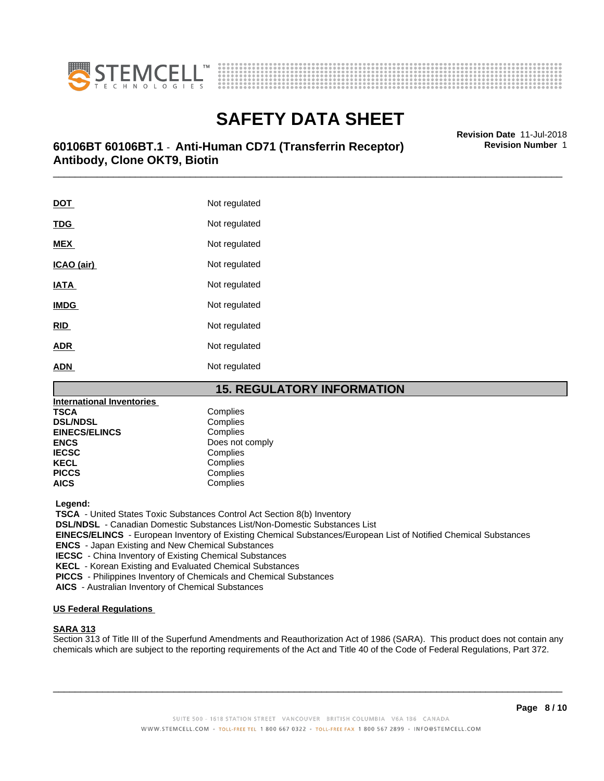



### \_\_\_\_\_\_\_\_\_\_\_\_\_\_\_\_\_\_\_\_\_\_\_\_\_\_\_\_\_\_\_\_\_\_\_\_\_\_\_\_\_\_\_\_\_\_\_\_\_\_\_\_\_\_\_\_\_\_\_\_\_\_\_\_\_\_\_\_\_\_\_\_\_\_\_\_\_\_\_\_\_\_\_\_\_\_\_\_\_\_\_\_\_ **Revision Date** 11-Jul-2018 **60106BT 60106BT.1** - **Anti-Human CD71 (Transferrin Receptor) Antibody, Clone OKT9, Biotin**

| <u>DOT</u>  | Not regulated |
|-------------|---------------|
| <b>TDG</b>  | Not regulated |
| <b>MEX</b>  | Not regulated |
| ICAO (air)  | Not regulated |
| <b>IATA</b> | Not regulated |
| <b>IMDG</b> | Not regulated |
| RID         | Not regulated |
| ADR         | Not regulated |
| ADN         | Not regulated |

### **15. REGULATORY INFORMATION**

| <b>International Inventories</b> |                 |
|----------------------------------|-----------------|
| TSCA                             | Complies        |
| <b>DSL/NDSL</b>                  | Complies        |
| <b>EINECS/ELINCS</b>             | Complies        |
| <b>ENCS</b>                      | Does not comply |
| <b>IECSC</b>                     | Complies        |
| <b>KECL</b>                      | Complies        |
| <b>PICCS</b>                     | Complies        |
| AICS                             | Complies        |
|                                  |                 |

 **Legend:**

 **TSCA** - United States Toxic Substances Control Act Section 8(b) Inventory

 **DSL/NDSL** - Canadian Domestic Substances List/Non-Domestic Substances List

 **EINECS/ELINCS** - European Inventory of Existing Chemical Substances/European List of Notified Chemical Substances

 **ENCS** - Japan Existing and New Chemical Substances

 **IECSC** - China Inventory of Existing Chemical Substances

 **KECL** - Korean Existing and Evaluated Chemical Substances

 **PICCS** - Philippines Inventory of Chemicals and Chemical Substances

 **AICS** - Australian Inventory of Chemical Substances

### **US Federal Regulations**

#### **SARA 313**

Section 313 of Title III of the Superfund Amendments and Reauthorization Act of 1986 (SARA). This product does not contain any chemicals which are subject to the reporting requirements of the Act and Title 40 of the Code of Federal Regulations, Part 372.

**Revision Number** 1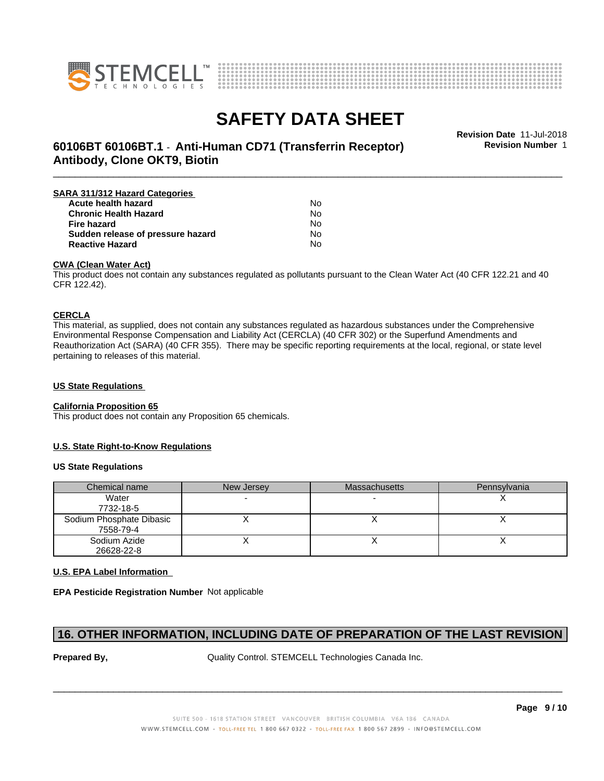



# **SAFETY DATA SHEET**<br>Revision Date 11-Jul-2018

**Revision Number** 1

### \_\_\_\_\_\_\_\_\_\_\_\_\_\_\_\_\_\_\_\_\_\_\_\_\_\_\_\_\_\_\_\_\_\_\_\_\_\_\_\_\_\_\_\_\_\_\_\_\_\_\_\_\_\_\_\_\_\_\_\_\_\_\_\_\_\_\_\_\_\_\_\_\_\_\_\_\_\_\_\_\_\_\_\_\_\_\_\_\_\_\_\_\_ **Revision Date** 11-Jul-2018 **60106BT 60106BT.1** - **Anti-Human CD71 (Transferrin Receptor) Antibody, Clone OKT9, Biotin**

| SARA 311/312 Hazard Categories    |    |  |
|-----------------------------------|----|--|
| Acute health hazard               | N٥ |  |
| <b>Chronic Health Hazard</b>      | No |  |
| <b>Fire hazard</b>                | No |  |
| Sudden release of pressure hazard | N٥ |  |
| <b>Reactive Hazard</b>            | N٥ |  |

#### **CWA (Clean WaterAct)**

This product does not contain any substances regulated as pollutants pursuant to the Clean Water Act (40 CFR 122.21 and 40 CFR 122.42).

#### **CERCLA**

This material, as supplied, does not contain any substances regulated as hazardous substances under the Comprehensive Environmental Response Compensation and Liability Act (CERCLA) (40 CFR 302) or the Superfund Amendments and Reauthorization Act (SARA) (40 CFR 355). There may be specific reporting requirements at the local, regional, or state level pertaining to releases of this material.

#### **US State Regulations**

#### **California Proposition 65**

This product does not contain any Proposition 65 chemicals.

#### **U.S. State Right-to-Know Regulations**

#### **US State Regulations**

| Chemical name                         | New Jersey | <b>Massachusetts</b> | Pennsylvania |
|---------------------------------------|------------|----------------------|--------------|
| Water<br>7732-18-5                    |            |                      |              |
| Sodium Phosphate Dibasic<br>7558-79-4 |            |                      |              |
| Sodium Azide<br>26628-22-8            |            |                      |              |

#### **U.S. EPA Label Information**

**EPA Pesticide Registration Number** Not applicable

### **16. OTHER INFORMATION, INCLUDING DATE OF PREPARATION OF THE LAST REVISION**

**Prepared By, State Control. STEMCELL Technologies Canada Inc.**